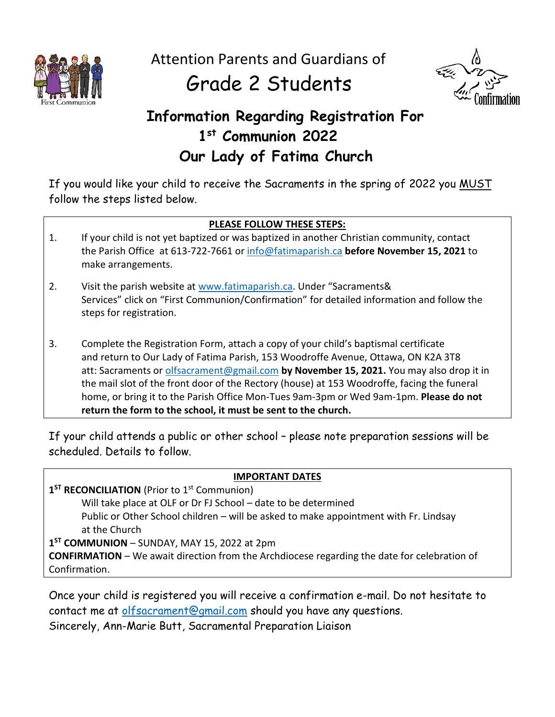

Attention Parents and Guardians of

# Grade 2 Students



# **Information Regarding Registration For 1 st Communion 2022 Our Lady of Fatima Church**

If you would like your child to receive the Sacraments in the spring of 2022 you MUST follow the steps listed below.

## **PLEASE FOLLOW THESE STEPS:**

- 1. If your child is not yet baptized or was baptized in another Christian community, contact the Parish Office at 613-722-7661 or [info@fatimaparish.ca](mailto:info@fatimaparish.ca) **before November 15, 2021** to make arrangements.
- 2. Visit the parish website at [www.fatimaparish.ca](http://www.fatimaparish.ca/). Under "Sacraments& Services" click on "First Communion/Confirmation" for detailed information and follow the steps for registration.
- 3. Complete the Registration Form, attach a copy of your child's baptismal certificate and return to Our Lady of Fatima Parish, 153 Woodroffe Avenue, Ottawa, ON K2A 3T8 att: Sacraments or [olfsacrament@gmail.com](mailto:olfsacrament@gmail.com) **by November 15, 2021.** You may also drop it in the mail slot of the front door of the Rectory (house) at 153 Woodroffe, facing the funeral home, or bring it to the Parish Office Mon-Tues 9am-3pm or Wed 9am-1pm. **Please do not return the form to the school, it must be sent to the church.**

If your child attends a public or other school – please note preparation sessions will be scheduled. Details to follow.

#### **IMPORTANT DATES**

1<sup>ST</sup> RECONCILIATION (Prior to 1<sup>st</sup> Communion) Will take place at OLF or Dr FJ School – date to be determined Public or Other School children – will be asked to make appointment with Fr. Lindsay at the Church **1 ST COMMUNION** – SUNDAY, MAY 15, 2022 at 2pm

**CONFIRMATION** – We await direction from the Archdiocese regarding the date for celebration of Confirmation.

Once your child is registered you will receive a confirmation e-mail. Do not hesitate to contact me at [olfsacrament@gmail.com](mailto:olfsacrament@gmail.com) should you have any questions. Sincerely, Ann-Marie Butt, Sacramental Preparation Liaison